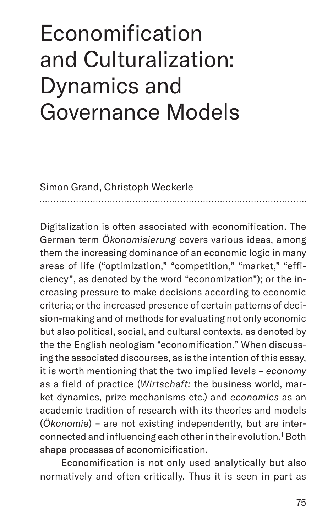# Economification and Culturalization: Dynamics and Governance Models

Simon Grand, Christoph Weckerle

Digitalization is often associated with economification. The German term *Ökonomisierung* covers various ideas, among them the increasing dominance of an economic logic in many areas of life ("optimization," "competition," "market," "efficiency", as denoted by the word "economization"); or the increasing pressure to make decisions according to economic criteria; or the increased presence of certain patterns of decision-making and of methods for evaluating not only economic but also political, social, and cultural contexts, as denoted by the the English neologism "economification." When discussing the associated discourses, as is the intention of this essay, it is worth mentioning that the two implied levels – *economy* as a field of practice (*Wirtschaft:* the business world, market dynamics, prize mechanisms etc.) and *economics* as an academic tradition of research with its theories and models (*Ökonomie*) – are not existing independently, but are interconnected and influencing each other in their evolution.<sup>1</sup> Both shape processes of economicification.

Economification is not only used analytically but also normatively and often critically. Thus it is seen in part as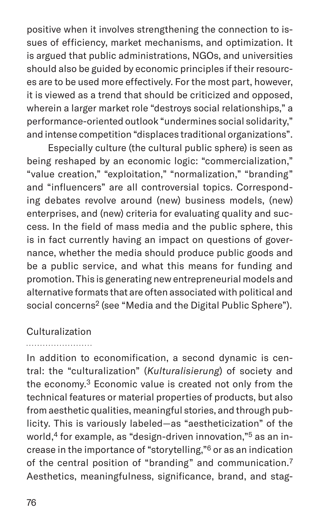positive when it involves strengthening the connection to issues of efficiency, market mechanisms, and optimization. It is argued that public administrations, NGOs, and universities should also be guided by economic principles if their resources are to be used more effectively. For the most part, however, it is viewed as a trend that should be criticized and opposed, wherein a larger market role "destroys social relationships," a performance-oriented outlook "undermines social solidarity," and intense competition "displaces traditional organizations".

Especially culture (the cultural public sphere) is seen as being reshaped by an economic logic: "commercialization," "value creation," "exploitation," "normalization," "branding" and "influencers" are all controversial topics. Corresponding debates revolve around (new) business models, (new) enterprises, and (new) criteria for evaluating quality and success. In the field of mass media and the public sphere, this is in fact currently having an impact on questions of governance, whether the media should produce public goods and be a public service, and what this means for funding and promotion. This is generating new entrepreneurial models and alternative formats that are often associated with political and social concerns<sup>2</sup> (see "Media and the Digital Public Sphere").

### Culturalization

In addition to economification, a second dynamic is central: the "culturalization" (*Kulturalisierung*) of society and the economy.<sup>3</sup> Economic value is created not only from the technical features or material properties of products, but also from aesthetic qualities, meaningful stories, and through publicity. This is variously labeled—as "aestheticization" of the world,<sup>4</sup> for example, as "design-driven innovation,"<sup>5</sup> as an increase in the importance of "storytelling,"6 or as an indication of the central position of "branding" and communication.<sup>7</sup> Aesthetics, meaningfulness, significance, brand, and stag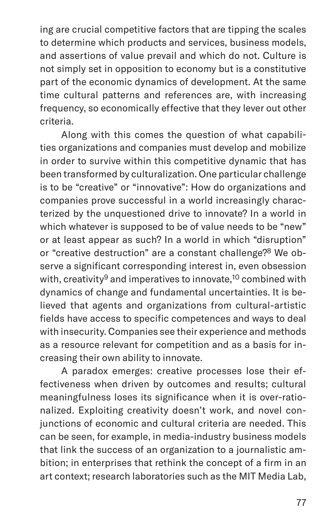ing are crucial competitive factors that are tipping the scales to determine which products and services, business models, and assertions of value prevail and which do not. Culture is not simply set in opposition to economy but is a constitutive part of the economic dynamics of development. At the same time cultural patterns and references are, with increasing frequency, so economically effective that they lever out other criteria.

Along with this comes the question of what capabilities organizations and companies must develop and mobilize in order to survive within this competitive dynamic that has been transformed by culturalization. One particular challenge is to be "creative" or "innovative": How do organizations and companies prove successful in a world increasingly characterized by the unquestioned drive to innovate? In a world in which whatever is supposed to be of value needs to be "new" or at least appear as such? In a world in which "disruption" or "creative destruction" are a constant challenge?8 We observe a significant corresponding interest in, even obsession with, creativity<sup>9</sup> and imperatives to innovate,<sup>10</sup> combined with dynamics of change and fundamental uncertainties. It is believed that agents and organizations from cultural-artistic fields have access to specific competences and ways to deal with insecurity. Companies see their experience and methods as a resource relevant for competition and as a basis for increasing their own ability to innovate.

A paradox emerges: creative processes lose their effectiveness when driven by outcomes and results; cultural meaningfulness loses its significance when it is over-rationalized. Exploiting creativity doesn't work, and novel conjunctions of economic and cultural criteria are needed. This can be seen, for example, in media-industry business models that link the success of an organization to a journalistic ambition; in enterprises that rethink the concept of a firm in an art context; research laboratories such as the MIT Media Lab,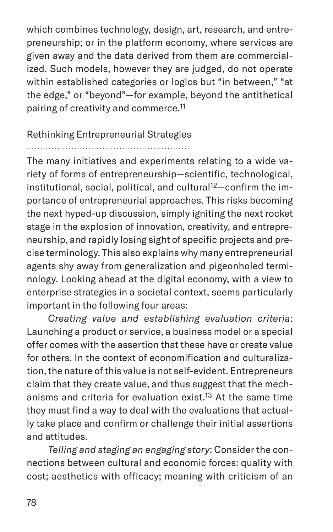which combines technology, design, art, research, and entrepreneurship; or in the platform economy, where services are given away and the data derived from them are commercialized. Such models, however they are judged, do not operate within established categories or logics but "in between," "at the edge," or "beyond"—for example, beyond the antithetical pairing of creativity and commerce.11

## Rethinking Entrepreneurial Strategies

#### 

The many initiatives and experiments relating to a wide variety of forms of entrepreneurship—scientific, technological, institutional, social, political, and cultural<sup>12</sup>-confirm the importance of entrepreneurial approaches. This risks becoming the next hyped-up discussion, simply igniting the next rocket stage in the explosion of innovation, creativity, and entrepreneurship, and rapidly losing sight of specific projects and precise terminology. This also explains why many entrepreneurial agents shy away from generalization and pigeonholed terminology. Looking ahead at the digital economy, with a view to enterprise strategies in a societal context, seems particularly important in the following four areas:

*Creating value and establishing evaluation criteria*: Launching a product or service, a business model or a special offer comes with the assertion that these have or create value for others. In the context of economification and culturalization, the nature of this value is not self-evident. Entrepreneurs claim that they create value, and thus suggest that the mechanisms and criteria for evaluation exist.<sup>13</sup> At the same time they must find a way to deal with the evaluations that actually take place and confirm or challenge their initial assertions and attitudes.

*Telling and staging an engaging story*: Consider the connections between cultural and economic forces: quality with cost; aesthetics with efficacy; meaning with criticism of an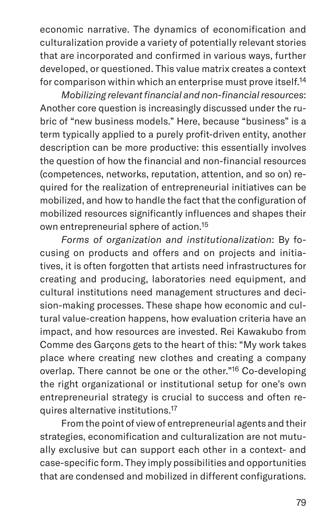economic narrative. The dynamics of economification and culturalization provide a variety of potentially relevant stories that are incorporated and confirmed in various ways, further developed, or questioned. This value matrix creates a context for comparison within which an enterprise must prove itself.14

*Mobilizing relevant financial and non-financial resources*: Another core question is increasingly discussed under the rubric of "new business models." Here, because "business" is a term typically applied to a purely profit-driven entity, another description can be more productive: this essentially involves the question of how the financial and non-financial resources (competences, networks, reputation, attention, and so on) required for the realization of entrepreneurial initiatives can be mobilized, and how to handle the fact that the configuration of mobilized resources significantly influences and shapes their own entrepreneurial sphere of action.15

*Forms of organization and institutionalization*: By focusing on products and offers and on projects and initiatives, it is often forgotten that artists need infrastructures for creating and producing, laboratories need equipment, and cultural institutions need management structures and decision-making processes. These shape how economic and cultural value-creation happens, how evaluation criteria have an impact, and how resources are invested. Rei Kawakubo from Comme des Garçons gets to the heart of this: "My work takes place where creating new clothes and creating a company overlap. There cannot be one or the other."16 Co-developing the right organizational or institutional setup for one's own entrepreneurial strategy is crucial to success and often requires alternative institutions.17

From the point of view of entrepreneurial agents and their strategies, economification and culturalization are not mutually exclusive but can support each other in a context- and case-specific form. They imply possibilities and opportunities that are condensed and mobilized in different configurations.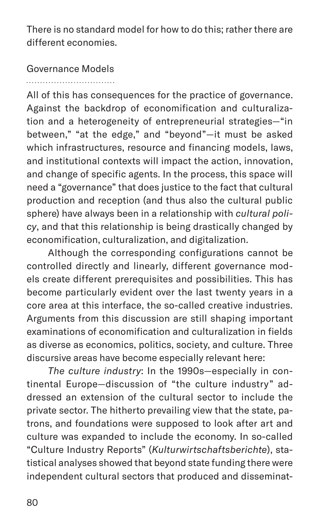There is no standard model for how to do this; rather there are different economies.

Governance Models 

All of this has consequences for the practice of governance. Against the backdrop of economification and culturalization and a heterogeneity of entrepreneurial strategies—"in between," "at the edge," and "beyond"—it must be asked which infrastructures, resource and financing models, laws, and institutional contexts will impact the action, innovation, and change of specific agents. In the process, this space will need a "governance" that does justice to the fact that cultural production and reception (and thus also the cultural public sphere) have always been in a relationship with *cultural policy*, and that this relationship is being drastically changed by economification, culturalization, and digitalization.

Although the corresponding configurations cannot be controlled directly and linearly, different governance models create different prerequisites and possibilities. This has become particularly evident over the last twenty years in a core area at this interface, the so-called creative industries. Arguments from this discussion are still shaping important examinations of economification and culturalization in fields as diverse as economics, politics, society, and culture. Three discursive areas have become especially relevant here:

*The culture industry*: In the 1990s—especially in continental Europe—discussion of "the culture industry" addressed an extension of the cultural sector to include the private sector. The hitherto prevailing view that the state, patrons, and foundations were supposed to look after art and culture was expanded to include the economy. In so-called "Culture Industry Reports" (*Kulturwirtschaftsberichte*), statistical analyses showed that beyond state funding there were independent cultural sectors that produced and disseminat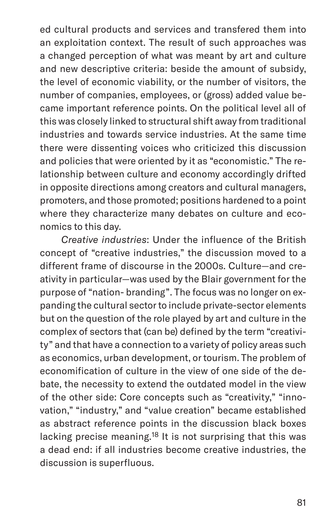ed cultural products and services and transfered them into an exploitation context. The result of such approaches was a changed perception of what was meant by art and culture and new descriptive criteria: beside the amount of subsidy, the level of economic viability, or the number of visitors, the number of companies, employees, or (gross) added value became important reference points. On the political level all of this was closely linked to structural shift away from traditional industries and towards service industries. At the same time there were dissenting voices who criticized this discussion and policies that were oriented by it as "economistic." The relationship between culture and economy accordingly drifted in opposite directions among creators and cultural managers, promoters, and those promoted; positions hardened to a point where they characterize many debates on culture and economics to this day.

*Creative industries*: Under the influence of the British concept of "creative industries," the discussion moved to a different frame of discourse in the 2000s. Culture—and creativity in particular—was used by the Blair government for the purpose of "nation- branding". The focus was no longer on expanding the cultural sector to include private-sector elements but on the question of the role played by art and culture in the complex of sectors that (can be) defined by the term "creativity" and that have a connection to a variety of policy areas such as economics, urban development, or tourism. The problem of economification of culture in the view of one side of the debate, the necessity to extend the outdated model in the view of the other side: Core concepts such as "creativity," "innovation," "industry," and "value creation" became established as abstract reference points in the discussion black boxes lacking precise meaning.18 It is not surprising that this was a dead end: if all industries become creative industries, the discussion is superfluous.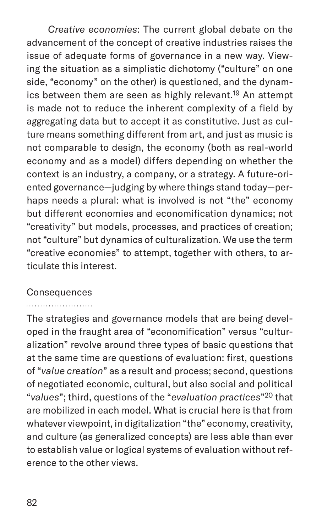*Creative economies*: The current global debate on the advancement of the concept of creative industries raises the issue of adequate forms of governance in a new way. Viewing the situation as a simplistic dichotomy ("culture" on one side, "economy" on the other) is questioned, and the dynamics between them are seen as highly relevant.<sup>19</sup> An attempt is made not to reduce the inherent complexity of a field by aggregating data but to accept it as constitutive. Just as culture means something different from art, and just as music is not comparable to design, the economy (both as real-world economy and as a model) differs depending on whether the context is an industry, a company, or a strategy. A future-oriented governance—judging by where things stand today—perhaps needs a plural: what is involved is not "the" economy but different economies and economification dynamics; not "creativity" but models, processes, and practices of creation; not "culture" but dynamics of culturalization. We use the term "creative economies" to attempt, together with others, to articulate this interest.

### **Consequences**

The strategies and governance models that are being developed in the fraught area of "economification" versus "culturalization" revolve around three types of basic questions that at the same time are questions of evaluation: first, questions of "*value creation*" as a result and process; second, questions of negotiated economic, cultural, but also social and political "*values*"; third, questions of the "*evaluation practices*"20 that are mobilized in each model. What is crucial here is that from whatever viewpoint, in digitalization "the" economy, creativity, and culture (as generalized concepts) are less able than ever to establish value or logical systems of evaluation without reference to the other views.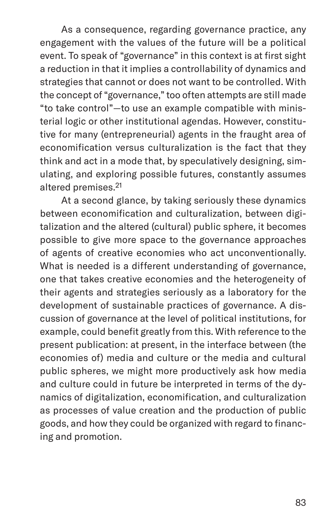As a consequence, regarding governance practice, any engagement with the values of the future will be a political event. To speak of "governance" in this context is at first sight a reduction in that it implies a controllability of dynamics and strategies that cannot or does not want to be controlled. With the concept of "governance," too often attempts are still made "to take control"—to use an example compatible with ministerial logic or other institutional agendas. However, constitutive for many (entrepreneurial) agents in the fraught area of economification versus culturalization is the fact that they think and act in a mode that, by speculatively designing, simulating, and exploring possible futures, constantly assumes altered premises.21

At a second glance, by taking seriously these dynamics between economification and culturalization, between digitalization and the altered (cultural) public sphere, it becomes possible to give more space to the governance approaches of agents of creative economies who act unconventionally. What is needed is a different understanding of governance, one that takes creative economies and the heterogeneity of their agents and strategies seriously as a laboratory for the development of sustainable practices of governance. A discussion of governance at the level of political institutions, for example, could benefit greatly from this. With reference to the present publication: at present, in the interface between (the economies of) media and culture or the media and cultural public spheres, we might more productively ask how media and culture could in future be interpreted in terms of the dynamics of digitalization, economification, and culturalization as processes of value creation and the production of public goods, and how they could be organized with regard to financing and promotion.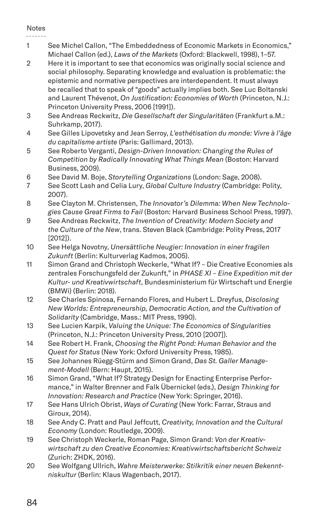#### Notes

- 1 See Michel Callon, "The Embeddedness of Economic Markets in Economics," Michael Callon (ed.), *Laws of the Markets* (Oxford: Blackwell, 1998), 1–57.
- 2 Here it is important to see that economics was originally social science and social philosophy. Separating knowledge and evaluation is problematic: the epistemic and normative perspectives are interdependent. It must always be recalled that to speak of "goods" actually implies both. See Luc Boltanski and Laurent Thévenot, *On Justification: Economies of Worth* (Princeton, N.J.: Princeton University Press, 2006 [1991]).
- 3 See Andreas Reckwitz, *Die Gesellschaft der Singularitäten* (Frankfurt a.M.: Suhrkamp, 2017).
- 4 See Gilles Lipovetsky and Jean Serroy, *L'esthétisation du monde: Vivre à l'âge du capitalisme artiste* (Paris: Gallimard, 2013).
- 5 See Roberto Verganti, *Design-Driven Innovation: Changing the Rules of Competition by Radically Innovating What Things Mean* (Boston: Harvard Business, 2009).
- 6 See David M. Boje, *Storytelling Organizations* (London: Sage, 2008).
- 7 See Scott Lash and Celia Lury, *Global Culture Industry* (Cambridge: Polity, 2007).
- 8 See Clayton M. Christensen, *The Innovator's Dilemma: When New Technologies Cause Great Firms to Fail* (Boston: Harvard Business School Press, 1997).
- 9 See Andreas Reckwitz, *The Invention of Creativity: Modern Society and the Culture of the New*, trans. Steven Black (Cambridge: Polity Press, 2017 [2012]).
- 10 See Helga Novotny, *Unersättliche Neugier: Innovation in einer fragilen Zukunft* (Berlin: Kulturverlag Kadmos, 2005).
- 11 Simon Grand and Christoph Weckerle, "What If? Die Creative Economies als zentrales Forschungsfeld der Zukunft," in *PHASE XI – Eine Expedition mit der Kultur- und Kreativwirtschaft*, Bundesministerium für Wirtschaft und Energie (BMWi) (Berlin: 2018).
- 12 See Charles Spinosa, Fernando Flores, and Hubert L. Dreyfus, *Disclosing New Worlds: Entrepreneurship, Democratic Action, and the Cultivation of Solidarity* (Cambridge, Mass.: MIT Press, 1990).
- 13 See Lucien Karpik, *Valuing the Unique: The Economics of Singularities*  (Princeton, N.J.: Princeton University Press, 2010 [2007]).
- 14 See Robert H. Frank, *Choosing the Right Pond: Human Behavior and the Quest for Status* (New York: Oxford University Press, 1985).
- 15 See Johannes Rüegg-Stürm and Simon Grand, *Das St. Galler Management-Modell* (Bern: Haupt, 2015).
- 16 Simon Grand, "What If? Strategy Design for Enacting Enterprise Performance," in Walter Brenner and Falk Übernickel (eds.), *Design Thinking for Innovation: Research and Practice* (New York: Springer, 2016).
- 17 See Hans Ulrich Obrist, *Ways of Curating* (New York: Farrar, Straus and Giroux, 2014).
- 18 See Andy C. Pratt and Paul Jeffcutt, *Creativity, Innovation and the Cultural Economy* (London: Routledge, 2009).
- 19 See Christoph Weckerle, Roman Page, Simon Grand: *Von der Kreativwirtschaft zu den Creative Economies: Kreativwirtschaftsbericht Schweiz* (Zurich: ZHDK, 2016).
- 20 See Wolfgang Ullrich, *Wahre Meisterwerke: Stilkritik einer neuen Bekenntniskultur* (Berlin: Klaus Wagenbach, 2017).